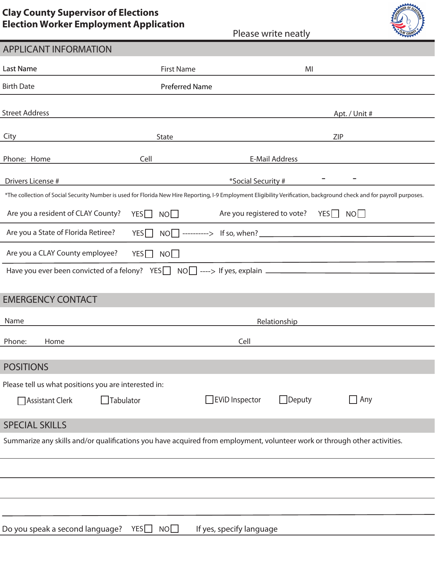## **Clay County Supervisor of Elections Election Worker Employment Application**

|                                                                                                                                                                       |                       | Please write neatly          |               |  |
|-----------------------------------------------------------------------------------------------------------------------------------------------------------------------|-----------------------|------------------------------|---------------|--|
| <b>APPLICANT INFORMATION</b>                                                                                                                                          |                       |                              |               |  |
| <b>Last Name</b>                                                                                                                                                      | <b>First Name</b>     | MI                           |               |  |
| <b>Birth Date</b>                                                                                                                                                     | <b>Preferred Name</b> |                              |               |  |
| <b>Street Address</b>                                                                                                                                                 |                       |                              | Apt. / Unit # |  |
| City                                                                                                                                                                  | State                 |                              | ZIP           |  |
| Phone: Home                                                                                                                                                           | Cell                  | E-Mail Address               |               |  |
| Drivers License #                                                                                                                                                     |                       | *Social Security #           |               |  |
| *The collection of Social Security Number is used for Florida New Hire Reporting, I-9 Employment Eligibility Verification, background check and for payroll purposes. |                       |                              |               |  |
| Are you a resident of CLAY County?                                                                                                                                    | YES<br>NO I           | Are you registered to vote?  | YES    <br>NO |  |
| Are you a State of Florida Retiree?                                                                                                                                   | YES                   | $NO$ ---------> If so, when? |               |  |
|                                                                                                                                                                       |                       |                              |               |  |

Have you ever been convicted of a felony? YESU NOU ----> If yes, explain

Are you a CLAY County employee?  $YES \Box NO \Box$ 

# EMERGENCY CONTACT

| Name                  |                   | Relationship                                         |                       |               |                    |  |  |
|-----------------------|-------------------|------------------------------------------------------|-----------------------|---------------|--------------------|--|--|
| Phone:                | Home              |                                                      | Cell                  |               |                    |  |  |
|                       |                   |                                                      |                       |               |                    |  |  |
| <b>POSITIONS</b>      |                   |                                                      |                       |               |                    |  |  |
|                       |                   | Please tell us what positions you are interested in: |                       |               |                    |  |  |
|                       | □ Assistant Clerk | Tabulator                                            | $\Box$ EViD Inspector | $\Box$ Deputy | $\blacksquare$ Any |  |  |
| <b>SPECIAL SKILLS</b> |                   |                                                      |                       |               |                    |  |  |

### Summarize any skills and/or qualifications you have acquired from employment, volunteer work or through other activities.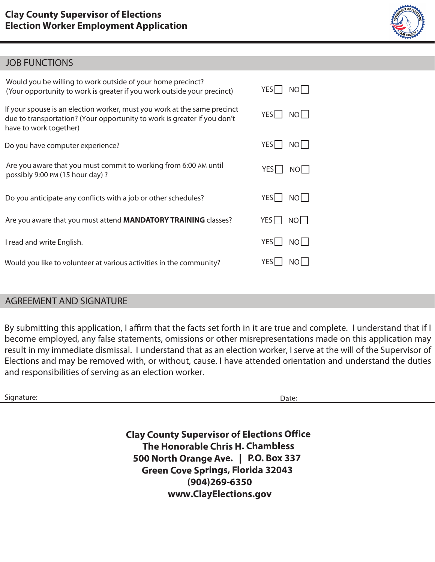## JOB FUNCTIONS

| Would you be willing to work outside of your home precinct?<br>(Your opportunity to work is greater if you work outside your precinct)                                         | YES  <br>NOL             |
|--------------------------------------------------------------------------------------------------------------------------------------------------------------------------------|--------------------------|
| If your spouse is an election worker, must you work at the same precinct<br>due to transportation? (Your opportunity to work is greater if you don't<br>have to work together) | YES    <br>NOL I         |
| Do you have computer experience?                                                                                                                                               | YES<br>NO I              |
| Are you aware that you must commit to working from 6:00 AM until<br>possibly 9:00 PM (15 hour day)?                                                                            | YES I<br>NO              |
| Do you anticipate any conflicts with a job or other schedules?                                                                                                                 | YES    <br>NO            |
| Are you aware that you must attend <b>MANDATORY TRAINING</b> classes?                                                                                                          | YES    <br>NO I          |
| I read and write English.                                                                                                                                                      | YES  <br>NO <sub>1</sub> |
| Would you like to volunteer at various activities in the community?                                                                                                            | <b>YES</b><br>NOL        |

## AGREEMENT AND SIGNATURE

By submitting this application, I affirm that the facts set forth in it are true and complete. I understand that if I become employed, any false statements, omissions or other misrepresentations made on this application may result in my immediate dismissal. I understand that as an election worker, I serve at the will of the Supervisor of Elections and may be removed with, or without, cause. I have attended orientation and understand the duties and responsibilities of serving as an election worker.

Signature: Date: Date: Date: Date: Date: Date: Date: Date: Date: Date: Date: Date: Date: Date: Date: Date: Date: Date: Date: Date: Date: Date: Date: Date: Date: Date: Date: Date: Date: Date: Date: Date: Date: Date: Date: D

**Clay County Supervisor of Elections Office The Honorable Chris H. Chambless 500 North Orange Ave. | P.O. Box 337 Green Cove Springs, Florida 32043 (904)269-6350 www.ClayElections.gov**